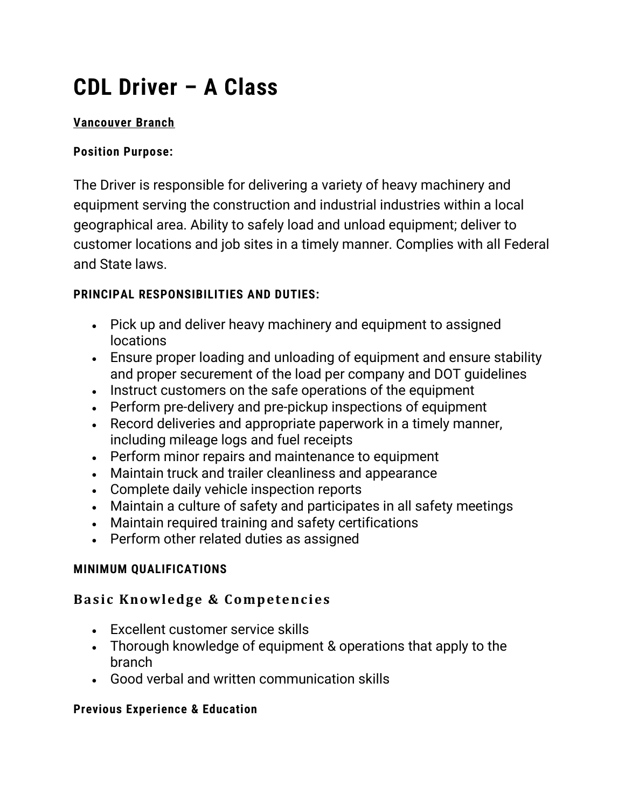# **CDL Driver – A Class**

## **Vancouver Branch**

#### **Position Purpose:**

The Driver is responsible for delivering a variety of heavy machinery and equipment serving the construction and industrial industries within a local geographical area. Ability to safely load and unload equipment; deliver to customer locations and job sites in a timely manner. Complies with all Federal and State laws.

## **PRINCIPAL RESPONSIBILITIES AND DUTIES:**

- Pick up and deliver heavy machinery and equipment to assigned locations
- Ensure proper loading and unloading of equipment and ensure stability and proper securement of the load per company and DOT guidelines
- Instruct customers on the safe operations of the equipment
- Perform pre-delivery and pre-pickup inspections of equipment
- Record deliveries and appropriate paperwork in a timely manner, including mileage logs and fuel receipts
- Perform minor repairs and maintenance to equipment
- Maintain truck and trailer cleanliness and appearance
- Complete daily vehicle inspection reports
- Maintain a culture of safety and participates in all safety meetings
- Maintain required training and safety certifications
- Perform other related duties as assigned

## **MINIMUM QUALIFICATIONS**

## **Basic Knowledge & Competencies**

- Excellent customer service skills
- Thorough knowledge of equipment & operations that apply to the branch
- Good verbal and written communication skills

#### **Previous Experience & Education**